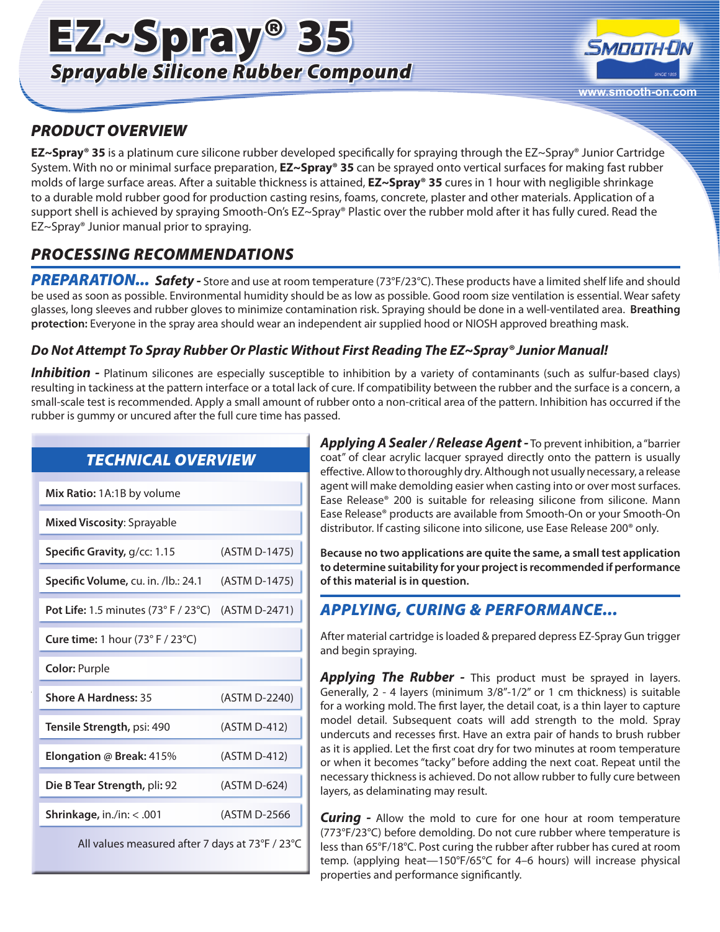# EZ~Spray® 35 *Sprayable Silicone Rubber Compound*



## *PRODUCT OVERVIEW*

**EZ~Spray® 35** is a platinum cure silicone rubber developed specifically for spraying through the EZ~Spray® Junior Cartridge System. With no or minimal surface preparation, **EZ~Spray® 35** can be sprayed onto vertical surfaces for making fast rubber molds of large surface areas. After a suitable thickness is attained, **EZ~Spray® 35** cures in 1 hour with negligible shrinkage to a durable mold rubber good for production casting resins, foams, concrete, plaster and other materials. Application of a support shell is achieved by spraying Smooth-On's EZ~Spray® Plastic over the rubber mold after it has fully cured. Read the EZ~Spray® Junior manual prior to spraying.

## *PROCESSING RECOMMENDATIONS*

*PREPARATION... Safety -* Store and use at room temperature (73°F/23°C). These products have a limited shelf life and should be used as soon as possible. Environmental humidity should be as low as possible. Good room size ventilation is essential. Wear safety glasses, long sleeves and rubber gloves to minimize contamination risk. Spraying should be done in a well-ventilated area. **Breathing protection:** Everyone in the spray area should wear an independent air supplied hood or NIOSH approved breathing mask.

### *Do Not Attempt To Spray Rubber Or Plastic Without First Reading The EZ~Spray® Junior Manual!*

*Inhibition -* Platinum silicones are especially susceptible to inhibition by a variety of contaminants (such as sulfur-based clays) resulting in tackiness at the pattern interface or a total lack of cure. If compatibility between the rubber and the surface is a concern, a small-scale test is recommended. Apply a small amount of rubber onto a non-critical area of the pattern. Inhibition has occurred if the rubber is gummy or uncured after the full cure time has passed.

| <b>TECHNICAL OVERVIEW</b>                       |               |
|-------------------------------------------------|---------------|
| Mix Ratio: 1A:1B by volume                      |               |
| Mixed Viscosity: Sprayable                      |               |
| Specific Gravity, g/cc: 1.15                    | (ASTM D-1475) |
| Specific Volume, cu. in. /lb.: 24.1             | (ASTM D-1475) |
| Pot Life: 1.5 minutes $(73°$ F / 23°C)          | (ASTM D-2471) |
| Cure time: 1 hour (73° F / 23°C)                |               |
| <b>Color: Purple</b>                            |               |
| <b>Shore A Hardness: 35</b>                     | (ASTM D-2240) |
| Tensile Strength, psi: 490                      | (ASTM D-412)  |
| Elongation @ Break: 415%                        | (ASTM D-412)  |
| Die B Tear Strength, pli: 92                    | (ASTM D-624)  |
| <b>Shrinkage, in./in:</b> $< .001$              | (ASTM D-2566  |
| All values measured after 7 days at 73°F / 23°C |               |

*Applying A Sealer / Release Agent -* To prevent inhibition, a "barrier coat" of clear acrylic lacquer sprayed directly onto the pattern is usually effective. Allow to thoroughly dry. Although not usually necessary, a release agent will make demolding easier when casting into or over most surfaces. Ease Release® 200 is suitable for releasing silicone from silicone. Mann Ease Release® products are available from Smooth-On or your Smooth-On distributor. If casting silicone into silicone, use Ease Release 200® only.

**Because no two applications are quite the same, a small test application to determine suitability for your project is recommended if performance of this material is in question.**

## *APPLYING, CURING & PERFORMANCE...*

After material cartridge is loaded & prepared depress EZ-Spray Gun trigger and begin spraying.

Applying The Rubber - This product must be sprayed in layers. Generally, 2 - 4 layers (minimum 3/8"-1/2" or 1 cm thickness) is suitable for a working mold. The first layer, the detail coat, is a thin layer to capture model detail. Subsequent coats will add strength to the mold. Spray undercuts and recesses first. Have an extra pair of hands to brush rubber as it is applied. Let the first coat dry for two minutes at room temperature or when it becomes "tacky" before adding the next coat. Repeat until the necessary thickness is achieved. Do not allow rubber to fully cure between layers, as delaminating may result.

*Curing -* Allow the mold to cure for one hour at room temperature (773°F/23°C) before demolding. Do not cure rubber where temperature is less than 65°F/18°C. Post curing the rubber after rubber has cured at room temp. (applying heat—150°F/65°C for 4–6 hours) will increase physical properties and performance significantly.